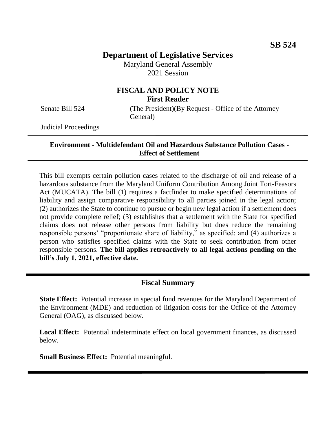# **Department of Legislative Services**

Maryland General Assembly 2021 Session

# **FISCAL AND POLICY NOTE First Reader**

Senate Bill 524 (The President)(By Request - Office of the Attorney General)

Judicial Proceedings

#### **Environment - Multidefendant Oil and Hazardous Substance Pollution Cases - Effect of Settlement**

This bill exempts certain pollution cases related to the discharge of oil and release of a hazardous substance from the Maryland Uniform Contribution Among Joint Tort-Feasors Act (MUCATA). The bill (1) requires a factfinder to make specified determinations of liability and assign comparative responsibility to all parties joined in the legal action; (2) authorizes the State to continue to pursue or begin new legal action if a settlement does not provide complete relief; (3) establishes that a settlement with the State for specified claims does not release other persons from liability but does reduce the remaining responsible persons' "proportionate share of liability," as specified; and (4) authorizes a person who satisfies specified claims with the State to seek contribution from other responsible persons. **The bill applies retroactively to all legal actions pending on the bill's July 1, 2021, effective date.** 

# **Fiscal Summary**

**State Effect:** Potential increase in special fund revenues for the Maryland Department of the Environment (MDE) and reduction of litigation costs for the Office of the Attorney General (OAG), as discussed below.

**Local Effect:** Potential indeterminate effect on local government finances, as discussed below.

**Small Business Effect:** Potential meaningful.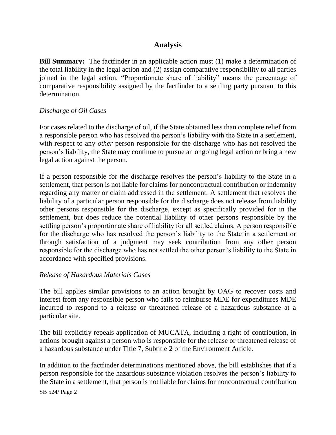# **Analysis**

**Bill Summary:** The factfinder in an applicable action must (1) make a determination of the total liability in the legal action and (2) assign comparative responsibility to all parties joined in the legal action. "Proportionate share of liability" means the percentage of comparative responsibility assigned by the factfinder to a settling party pursuant to this determination.

### *Discharge of Oil Cases*

For cases related to the discharge of oil, if the State obtained less than complete relief from a responsible person who has resolved the person's liability with the State in a settlement, with respect to any *other* person responsible for the discharge who has not resolved the person's liability, the State may continue to pursue an ongoing legal action or bring a new legal action against the person.

If a person responsible for the discharge resolves the person's liability to the State in a settlement, that person is not liable for claims for noncontractual contribution or indemnity regarding any matter or claim addressed in the settlement. A settlement that resolves the liability of a particular person responsible for the discharge does not release from liability other persons responsible for the discharge, except as specifically provided for in the settlement, but does reduce the potential liability of other persons responsible by the settling person's proportionate share of liability for all settled claims. A person responsible for the discharge who has resolved the person's liability to the State in a settlement or through satisfaction of a judgment may seek contribution from any other person responsible for the discharge who has not settled the other person's liability to the State in accordance with specified provisions.

#### *Release of Hazardous Materials Cases*

The bill applies similar provisions to an action brought by OAG to recover costs and interest from any responsible person who fails to reimburse MDE for expenditures MDE incurred to respond to a release or threatened release of a hazardous substance at a particular site.

The bill explicitly repeals application of MUCATA, including a right of contribution, in actions brought against a person who is responsible for the release or threatened release of a hazardous substance under Title 7, Subtitle 2 of the Environment Article.

In addition to the factfinder determinations mentioned above, the bill establishes that if a person responsible for the hazardous substance violation resolves the person's liability to the State in a settlement, that person is not liable for claims for noncontractual contribution

SB 524/ Page 2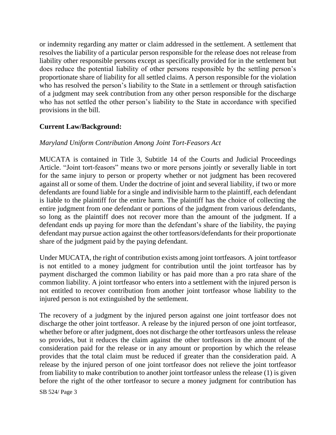or indemnity regarding any matter or claim addressed in the settlement. A settlement that resolves the liability of a particular person responsible for the release does not release from liability other responsible persons except as specifically provided for in the settlement but does reduce the potential liability of other persons responsible by the settling person's proportionate share of liability for all settled claims. A person responsible for the violation who has resolved the person's liability to the State in a settlement or through satisfaction of a judgment may seek contribution from any other person responsible for the discharge who has not settled the other person's liability to the State in accordance with specified provisions in the bill.

# **Current Law/Background:**

### *Maryland Uniform Contribution Among Joint Tort-Feasors Act*

MUCATA is contained in Title 3, Subtitle 14 of the Courts and Judicial Proceedings Article. "Joint tort-feasors" means two or more persons jointly or severally liable in tort for the same injury to person or property whether or not judgment has been recovered against all or some of them. Under the doctrine of joint and several liability, if two or more defendants are found liable for a single and indivisible harm to the plaintiff, each defendant is liable to the plaintiff for the entire harm. The plaintiff has the choice of collecting the entire judgment from one defendant or portions of the judgment from various defendants, so long as the plaintiff does not recover more than the amount of the judgment. If a defendant ends up paying for more than the defendant's share of the liability, the paying defendant may pursue action against the other tortfeasors/defendants for their proportionate share of the judgment paid by the paying defendant.

Under MUCATA, the right of contribution exists among joint tortfeasors. A joint tortfeasor is not entitled to a money judgment for contribution until the joint tortfeasor has by payment discharged the common liability or has paid more than a pro rata share of the common liability. A joint tortfeasor who enters into a settlement with the injured person is not entitled to recover contribution from another joint tortfeasor whose liability to the injured person is not extinguished by the settlement.

The recovery of a judgment by the injured person against one joint tortfeasor does not discharge the other joint tortfeasor. A release by the injured person of one joint tortfeasor, whether before or after judgment, does not discharge the other tortfeasors unless the release so provides, but it reduces the claim against the other tortfeasors in the amount of the consideration paid for the release or in any amount or proportion by which the release provides that the total claim must be reduced if greater than the consideration paid. A release by the injured person of one joint tortfeasor does not relieve the joint tortfeasor from liability to make contribution to another joint tortfeasor unless the release (1) is given before the right of the other tortfeasor to secure a money judgment for contribution has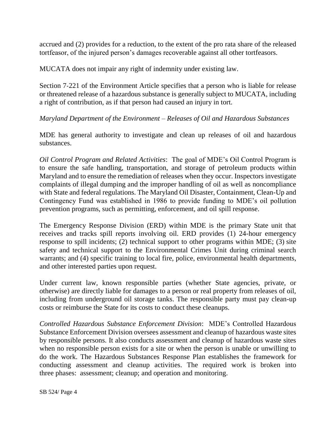accrued and (2) provides for a reduction, to the extent of the pro rata share of the released tortfeasor, of the injured person's damages recoverable against all other tortfeasors.

MUCATA does not impair any right of indemnity under existing law.

Section 7-221 of the Environment Article specifies that a person who is liable for release or threatened release of a hazardous substance is generally subject to MUCATA, including a right of contribution, as if that person had caused an injury in tort.

### *Maryland Department of the Environment – Releases of Oil and Hazardous Substances*

MDE has general authority to investigate and clean up releases of oil and hazardous substances.

*Oil Control Program and Related Activities*: The goal of MDE's Oil Control Program is to ensure the safe handling, transportation, and storage of petroleum products within Maryland and to ensure the remediation of releases when they occur. Inspectors investigate complaints of illegal dumping and the improper handling of oil as well as noncompliance with State and federal regulations. The Maryland Oil Disaster, Containment, Clean-Up and Contingency Fund was established in 1986 to provide funding to MDE's oil pollution prevention programs, such as permitting, enforcement, and oil spill response.

The Emergency Response Division (ERD) within MDE is the primary State unit that receives and tracks spill reports involving oil. ERD provides (1) 24-hour emergency response to spill incidents; (2) technical support to other programs within MDE; (3) site safety and technical support to the Environmental Crimes Unit during criminal search warrants; and (4) specific training to local fire, police, environmental health departments, and other interested parties upon request.

Under current law, known responsible parties (whether State agencies, private, or otherwise) are directly liable for damages to a person or real property from releases of oil, including from underground oil storage tanks. The responsible party must pay clean-up costs or reimburse the State for its costs to conduct these cleanups.

*Controlled Hazardous Substance Enforcement Division*: MDE's Controlled Hazardous Substance Enforcement Division oversees assessment and cleanup of hazardous waste sites by responsible persons. It also conducts assessment and cleanup of hazardous waste sites when no responsible person exists for a site or when the person is unable or unwilling to do the work. The Hazardous Substances Response Plan establishes the framework for conducting assessment and cleanup activities. The required work is broken into three phases: assessment; cleanup; and operation and monitoring.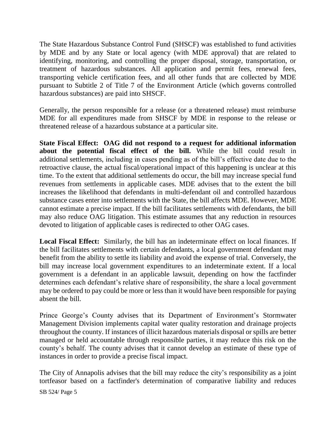The State Hazardous Substance Control Fund (SHSCF) was established to fund activities by MDE and by any State or local agency (with MDE approval) that are related to identifying, monitoring, and controlling the proper disposal, storage, transportation, or treatment of hazardous substances. All application and permit fees, renewal fees, transporting vehicle certification fees, and all other funds that are collected by MDE pursuant to Subtitle 2 of Title 7 of the Environment Article (which governs controlled hazardous substances) are paid into SHSCF.

Generally, the person responsible for a release (or a threatened release) must reimburse MDE for all expenditures made from SHSCF by MDE in response to the release or threatened release of a hazardous substance at a particular site.

**State Fiscal Effect: OAG did not respond to a request for additional information about the potential fiscal effect of the bill.** While the bill could result in additional settlements, including in cases pending as of the bill's effective date due to the retroactive clause, the actual fiscal/operational impact of this happening is unclear at this time. To the extent that additional settlements do occur, the bill may increase special fund revenues from settlements in applicable cases. MDE advises that to the extent the bill increases the likelihood that defendants in multi-defendant oil and controlled hazardous substance cases enter into settlements with the State, the bill affects MDE. However, MDE cannot estimate a precise impact. If the bill facilitates settlements with defendants, the bill may also reduce OAG litigation. This estimate assumes that any reduction in resources devoted to litigation of applicable cases is redirected to other OAG cases.

**Local Fiscal Effect:** Similarly, the bill has an indeterminate effect on local finances. If the bill facilitates settlements with certain defendants, a local government defendant may benefit from the ability to settle its liability and avoid the expense of trial. Conversely, the bill may increase local government expenditures to an indeterminate extent. If a local government is a defendant in an applicable lawsuit, depending on how the factfinder determines each defendant's relative share of responsibility, the share a local government may be ordered to pay could be more or less than it would have been responsible for paying absent the bill.

Prince George's County advises that its Department of Environment's Stormwater Management Division implements capital water quality restoration and drainage projects throughout the county. If instances of illicit hazardous materials disposal or spills are better managed or held accountable through responsible parties, it may reduce this risk on the county's behalf. The county advises that it cannot develop an estimate of these type of instances in order to provide a precise fiscal impact.

The City of Annapolis advises that the bill may reduce the city's responsibility as a joint tortfeasor based on a factfinder's determination of comparative liability and reduces